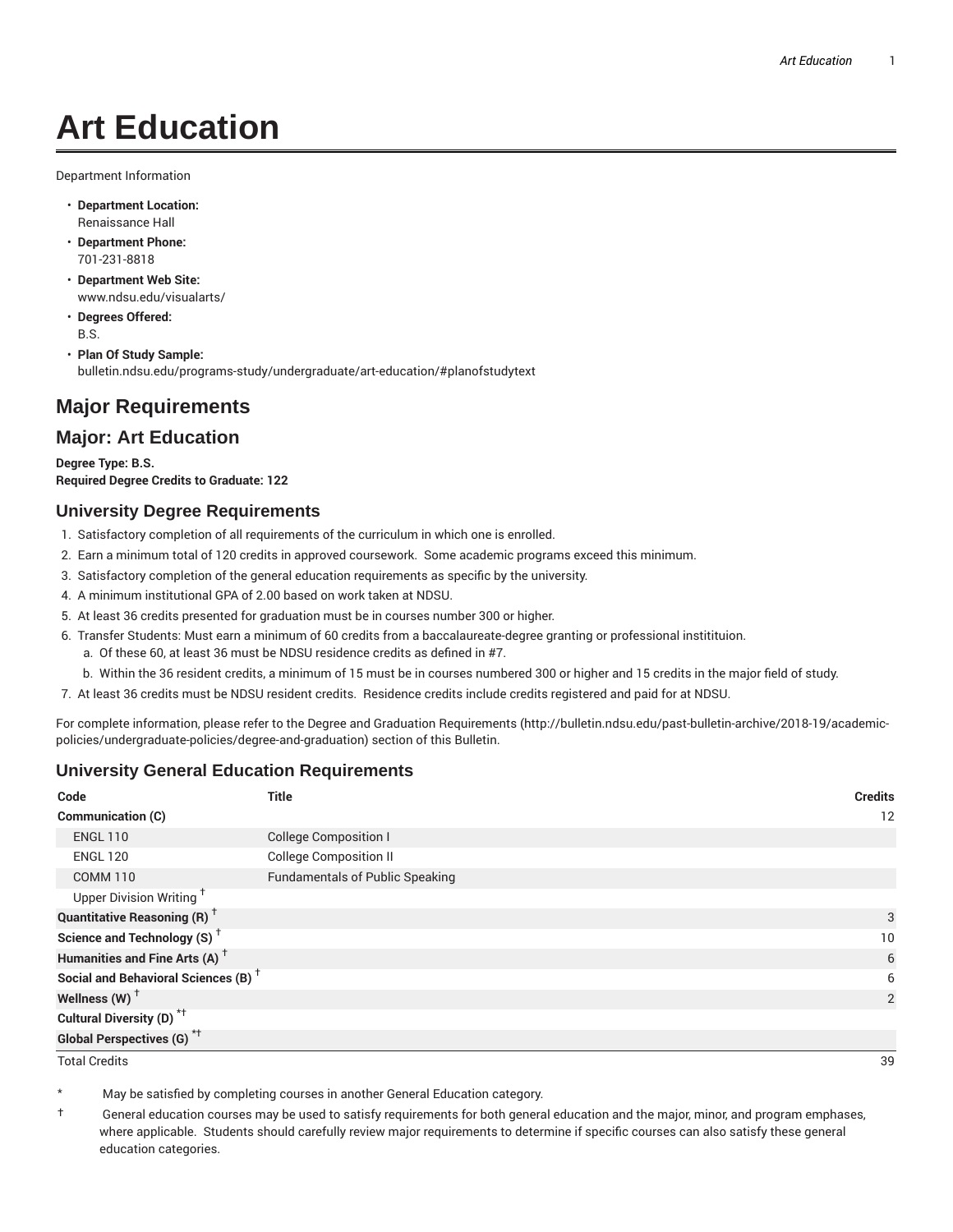# **Art Education**

Department Information

- **Department Location:** Renaissance Hall
- **Department Phone:** 701-231-8818
- **Department Web Site:** www.ndsu.edu/visualarts/
- **Degrees Offered:** B.S.
- **Plan Of Study Sample:** bulletin.ndsu.edu/programs-study/undergraduate/art-education/#planofstudytext

## **Major Requirements**

### **Major: Art Education**

**Degree Type: B.S. Required Degree Credits to Graduate: 122**

#### **University Degree Requirements**

- 1. Satisfactory completion of all requirements of the curriculum in which one is enrolled.
- 2. Earn a minimum total of 120 credits in approved coursework. Some academic programs exceed this minimum.
- 3. Satisfactory completion of the general education requirements as specific by the university.
- 4. A minimum institutional GPA of 2.00 based on work taken at NDSU.
- 5. At least 36 credits presented for graduation must be in courses number 300 or higher.
- 6. Transfer Students: Must earn a minimum of 60 credits from a baccalaureate-degree granting or professional institituion.
	- a. Of these 60, at least 36 must be NDSU residence credits as defined in #7.
	- b. Within the 36 resident credits, a minimum of 15 must be in courses numbered 300 or higher and 15 credits in the major field of study.
- 7. At least 36 credits must be NDSU resident credits. Residence credits include credits registered and paid for at NDSU.

For complete information, please refer to the Degree and Graduation Requirements (http://bulletin.ndsu.edu/past-bulletin-archive/2018-19/academicpolicies/undergraduate-policies/degree-and-graduation) section of this Bulletin.

#### **University General Education Requirements**

| Code                                            | <b>Title</b>                           | <b>Credits</b> |
|-------------------------------------------------|----------------------------------------|----------------|
| Communication (C)                               |                                        | 12             |
| <b>ENGL 110</b>                                 | <b>College Composition I</b>           |                |
| <b>ENGL 120</b>                                 | <b>College Composition II</b>          |                |
| <b>COMM 110</b>                                 | <b>Fundamentals of Public Speaking</b> |                |
| Upper Division Writing <sup>+</sup>             |                                        |                |
| <b>Quantitative Reasoning (R)</b> <sup>†</sup>  |                                        | 3              |
| Science and Technology (S) <sup>+</sup>         |                                        | 10             |
| Humanities and Fine Arts (A) <sup>+</sup>       |                                        | 6              |
| Social and Behavioral Sciences (B) <sup>+</sup> |                                        | 6              |
| Wellness $(W)$ <sup>+</sup>                     |                                        | 2              |
| Cultural Diversity (D) <sup>*†</sup>            |                                        |                |
| <b>Global Perspectives (G)<sup>*†</sup></b>     |                                        |                |

Total Credits 39

May be satisfied by completing courses in another General Education category.

† General education courses may be used to satisfy requirements for both general education and the major, minor, and program emphases, where applicable. Students should carefully review major requirements to determine if specific courses can also satisfy these general education categories.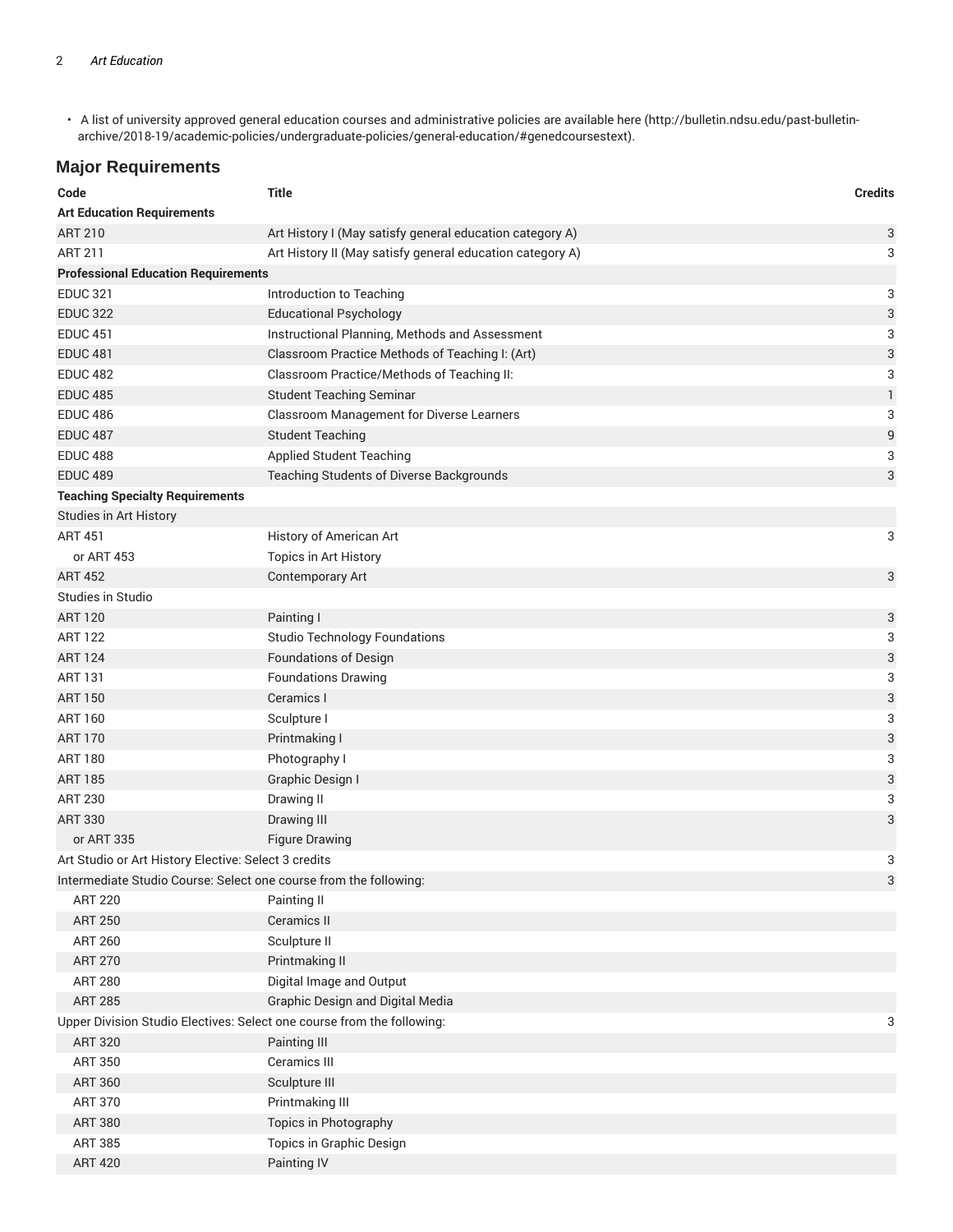• A list of university approved general education courses and administrative policies are available here (http://bulletin.ndsu.edu/past-bulletinarchive/2018-19/academic-policies/undergraduate-policies/general-education/#genedcoursestext).

#### **Major Requirements**

| Code                                                                   | <b>Title</b>                                              | <b>Credits</b> |
|------------------------------------------------------------------------|-----------------------------------------------------------|----------------|
| <b>Art Education Requirements</b>                                      |                                                           |                |
| <b>ART 210</b>                                                         | Art History I (May satisfy general education category A)  | 3              |
| <b>ART 211</b>                                                         | Art History II (May satisfy general education category A) | 3              |
| <b>Professional Education Requirements</b>                             |                                                           |                |
| <b>EDUC 321</b>                                                        | Introduction to Teaching                                  | 3              |
| <b>EDUC 322</b>                                                        | <b>Educational Psychology</b>                             | 3              |
| <b>EDUC 451</b>                                                        | Instructional Planning, Methods and Assessment            | 3              |
| <b>EDUC 481</b>                                                        | Classroom Practice Methods of Teaching I: (Art)           | 3              |
| <b>EDUC 482</b>                                                        | Classroom Practice/Methods of Teaching II:                | 3              |
| <b>EDUC 485</b>                                                        | <b>Student Teaching Seminar</b>                           | $\mathbf{1}$   |
| <b>EDUC 486</b>                                                        | Classroom Management for Diverse Learners                 | 3              |
| <b>EDUC 487</b>                                                        | <b>Student Teaching</b>                                   | 9              |
| <b>EDUC 488</b>                                                        | <b>Applied Student Teaching</b>                           | 3              |
| <b>EDUC 489</b>                                                        | Teaching Students of Diverse Backgrounds                  | 3              |
| <b>Teaching Specialty Requirements</b>                                 |                                                           |                |
| Studies in Art History                                                 |                                                           |                |
| <b>ART 451</b>                                                         | History of American Art                                   | 3              |
| or ART 453                                                             | Topics in Art History                                     |                |
| <b>ART 452</b>                                                         | Contemporary Art                                          | 3              |
| Studies in Studio                                                      |                                                           |                |
| <b>ART 120</b>                                                         | Painting I                                                | 3              |
| <b>ART 122</b>                                                         | <b>Studio Technology Foundations</b>                      | 3              |
| <b>ART 124</b>                                                         | <b>Foundations of Design</b>                              | 3              |
| <b>ART 131</b>                                                         | <b>Foundations Drawing</b>                                | 3              |
| <b>ART 150</b>                                                         | Ceramics I                                                | 3              |
| <b>ART 160</b>                                                         | Sculpture I                                               | 3              |
| <b>ART 170</b>                                                         | Printmaking I                                             | 3              |
| <b>ART 180</b>                                                         | Photography I                                             | 3              |
| <b>ART 185</b>                                                         | Graphic Design I                                          | 3              |
| <b>ART 230</b>                                                         | Drawing II                                                | 3              |
| <b>ART 330</b>                                                         | Drawing III                                               | 3              |
| or ART 335                                                             | <b>Figure Drawing</b>                                     |                |
| Art Studio or Art History Elective: Select 3 credits                   |                                                           | 3              |
| Intermediate Studio Course: Select one course from the following:      |                                                           | 3              |
| <b>ART 220</b>                                                         | Painting II                                               |                |
| <b>ART 250</b>                                                         | Ceramics II                                               |                |
| <b>ART 260</b>                                                         | Sculpture II                                              |                |
| <b>ART 270</b>                                                         | Printmaking II                                            |                |
| <b>ART 280</b>                                                         | Digital Image and Output                                  |                |
| <b>ART 285</b>                                                         | <b>Graphic Design and Digital Media</b>                   |                |
| Upper Division Studio Electives: Select one course from the following: |                                                           | 3              |
| <b>ART 320</b>                                                         | Painting III                                              |                |
| <b>ART 350</b>                                                         | Ceramics III                                              |                |
| <b>ART 360</b>                                                         | Sculpture III                                             |                |
| <b>ART 370</b>                                                         | Printmaking III                                           |                |
| <b>ART 380</b>                                                         | Topics in Photography                                     |                |
| <b>ART 385</b>                                                         | Topics in Graphic Design                                  |                |
| <b>ART 420</b>                                                         | Painting IV                                               |                |